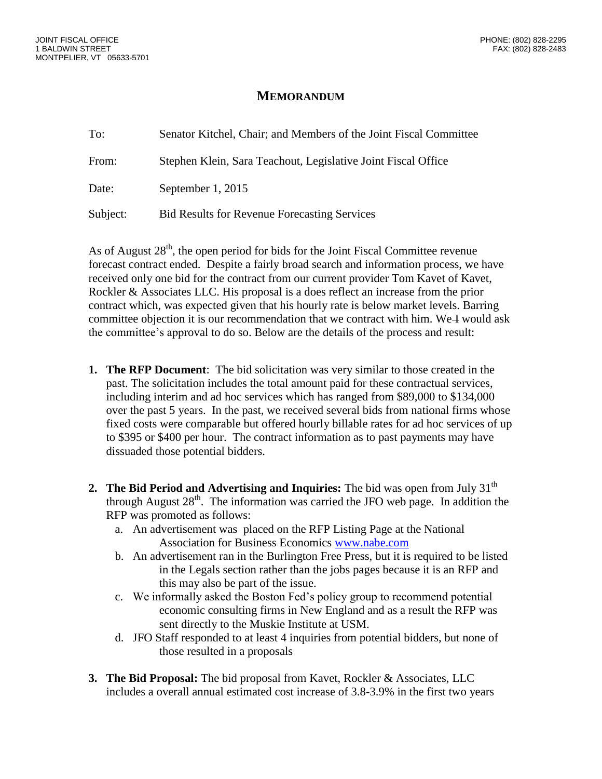## **MEMORANDUM**

| To:      | Senator Kitchel, Chair; and Members of the Joint Fiscal Committee |
|----------|-------------------------------------------------------------------|
| From:    | Stephen Klein, Sara Teachout, Legislative Joint Fiscal Office     |
| Date:    | September 1, 2015                                                 |
| Subject: | <b>Bid Results for Revenue Forecasting Services</b>               |

As of August  $28<sup>th</sup>$ , the open period for bids for the Joint Fiscal Committee revenue forecast contract ended. Despite a fairly broad search and information process, we have received only one bid for the contract from our current provider Tom Kavet of Kavet, Rockler & Associates LLC. His proposal is a does reflect an increase from the prior contract which, was expected given that his hourly rate is below market levels. Barring committee objection it is our recommendation that we contract with him. We I would ask the committee's approval to do so. Below are the details of the process and result:

- **1. The RFP Document**: The bid solicitation was very similar to those created in the past. The solicitation includes the total amount paid for these contractual services, including interim and ad hoc services which has ranged from \$89,000 to \$134,000 over the past 5 years. In the past, we received several bids from national firms whose fixed costs were comparable but offered hourly billable rates for ad hoc services of up to \$395 or \$400 per hour. The contract information as to past payments may have dissuaded those potential bidders.
- **2.** The Bid Period and Advertising and Inquiries: The bid was open from July 31<sup>th</sup> through August  $28<sup>th</sup>$ . The information was carried the JFO web page. In addition the RFP was promoted as follows:
	- a. An advertisement was placed on the RFP Listing Page at the National Association for Business Economics [www.nabe.com](http://www.nabe.com/)
	- b. An advertisement ran in the Burlington Free Press, but it is required to be listed in the Legals section rather than the jobs pages because it is an RFP and this may also be part of the issue.
	- c. We informally asked the Boston Fed's policy group to recommend potential economic consulting firms in New England and as a result the RFP was sent directly to the Muskie Institute at USM.
	- d. JFO Staff responded to at least 4 inquiries from potential bidders, but none of those resulted in a proposals
- **3. The Bid Proposal:** The bid proposal from Kavet, Rockler & Associates, LLC includes a overall annual estimated cost increase of 3.8-3.9% in the first two years